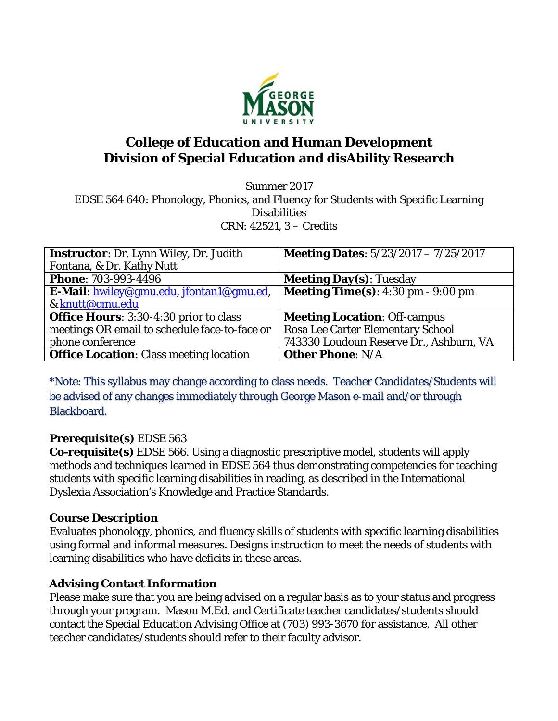

# **College of Education and Human Development Division of Special Education and disAbility Research**

Summer 2017 EDSE 564 640: Phonology, Phonics, and Fluency for Students with Specific Learning **Disabilities** CRN: 42521, 3 – Credits

| <b>Instructor:</b> Dr. Lynn Wiley, Dr. Judith  | <b>Meeting Dates:</b> 5/23/2017 - 7/25/2017                 |
|------------------------------------------------|-------------------------------------------------------------|
| Fontana, & Dr. Kathy Nutt                      |                                                             |
| <b>Phone: 703-993-4496</b>                     | <b>Meeting Day(s): Tuesday</b>                              |
| E-Mail: hwiley@gmu.edu, jfontan1@gmu.ed,       | <b>Meeting Time(s):</b> $4:30 \text{ pm} - 9:00 \text{ pm}$ |
| & knutt@gmu.edu                                |                                                             |
| <b>Office Hours:</b> 3:30-4:30 prior to class  | <b>Meeting Location: Off-campus</b>                         |
| meetings OR email to schedule face-to-face or  | Rosa Lee Carter Elementary School                           |
| phone conference                               | 743330 Loudoun Reserve Dr., Ashburn, VA                     |
| <b>Office Location: Class meeting location</b> | <b>Other Phone: N/A</b>                                     |

\*Note: This syllabus may change according to class needs. Teacher Candidates/Students will be advised of any changes immediately through George Mason e-mail and/or through Blackboard.

### **Prerequisite(s)** EDSE 563

**Co-requisite(s)** EDSE 566. Using a diagnostic prescriptive model, students will apply methods and techniques learned in EDSE 564 thus demonstrating competencies for teaching students with specific learning disabilities in reading, as described in the International Dyslexia Association's Knowledge and Practice Standards.

### **Course Description**

Evaluates phonology, phonics, and fluency skills of students with specific learning disabilities using formal and informal measures. Designs instruction to meet the needs of students with learning disabilities who have deficits in these areas.

### **Advising Contact Information**

Please make sure that you are being advised on a regular basis as to your status and progress through your program. Mason M.Ed. and Certificate teacher candidates/students should contact the Special Education Advising Office at (703) 993-3670 for assistance. All other teacher candidates/students should refer to their faculty advisor.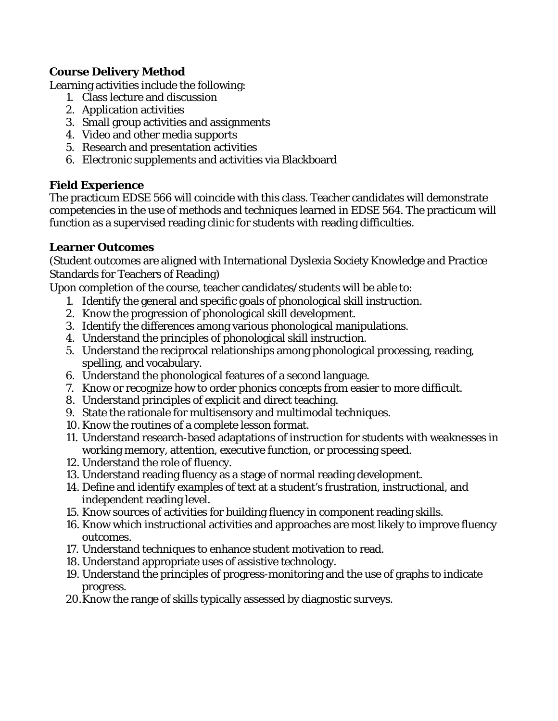### **Course Delivery Method**

Learning activities include the following:

- 1. Class lecture and discussion
- 2. Application activities
- 3. Small group activities and assignments
- 4. Video and other media supports
- 5. Research and presentation activities
- 6. Electronic supplements and activities via Blackboard

#### **Field Experience**

The practicum EDSE 566 will coincide with this class. Teacher candidates will demonstrate competencies in the use of methods and techniques learned in EDSE 564. The practicum will function as a supervised reading clinic for students with reading difficulties.

#### **Learner Outcomes**

(Student outcomes are aligned with International Dyslexia Society Knowledge and Practice Standards for Teachers of Reading)

Upon completion of the course, teacher candidates/students will be able to:

- 1. Identify the general and specific goals of phonological skill instruction.
- 2. Know the progression of phonological skill development.
- 3. Identify the differences among various phonological manipulations.
- 4. Understand the principles of phonological skill instruction.
- 5. Understand the reciprocal relationships among phonological processing, reading, spelling, and vocabulary.
- 6. Understand the phonological features of a second language.
- 7. Know or recognize how to order phonics concepts from easier to more difficult.
- 8. Understand principles of explicit and direct teaching.
- 9. State the rationale for multisensory and multimodal techniques.
- 10. Know the routines of a complete lesson format.
- 11. Understand research-based adaptations of instruction for students with weaknesses in working memory, attention, executive function, or processing speed.
- 12. Understand the role of fluency.
- 13. Understand reading fluency as a stage of normal reading development.
- 14. Define and identify examples of text at a student's frustration, instructional, and independent reading level.
- 15. Know sources of activities for building fluency in component reading skills.
- 16. Know which instructional activities and approaches are most likely to improve fluency outcomes.
- 17. Understand techniques to enhance student motivation to read.
- 18. Understand appropriate uses of assistive technology.
- 19. Understand the principles of progress-monitoring and the use of graphs to indicate progress.
- 20.Know the range of skills typically assessed by diagnostic surveys.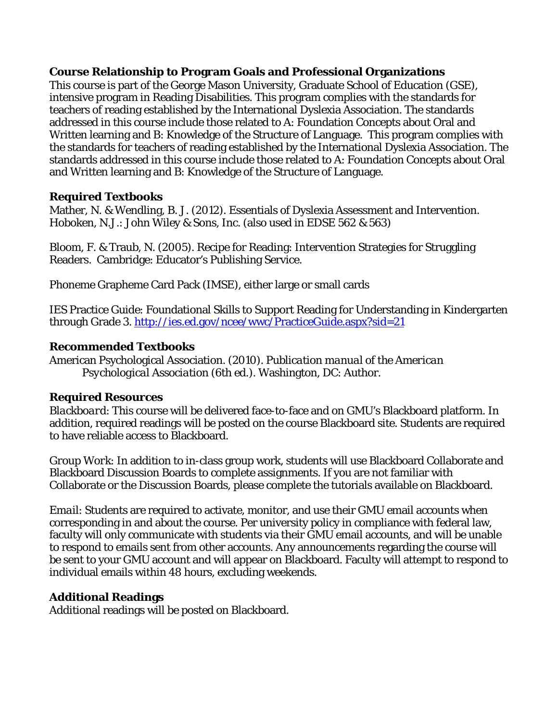#### **Course Relationship to Program Goals and Professional Organizations**

This course is part of the George Mason University, Graduate School of Education (GSE), intensive program in Reading Disabilities. This program complies with the standards for teachers of reading established by the International Dyslexia Association. The standards addressed in this course include those related to A: Foundation Concepts about Oral and Written learning and B: Knowledge of the Structure of Language. This program complies with the standards for teachers of reading established by the International Dyslexia Association. The standards addressed in this course include those related to A: Foundation Concepts about Oral and Written learning and B: Knowledge of the Structure of Language.

### **Required Textbooks**

Mather, N. & Wendling, B. J. (2012). Essentials of Dyslexia Assessment and Intervention. Hoboken, N.J.: John Wiley & Sons, Inc. (also used in EDSE 562 & 563)

Bloom, F. & Traub, N. (2005). Recipe for Reading: Intervention Strategies for Struggling Readers. Cambridge: Educator's Publishing Service.

Phoneme Grapheme Card Pack (IMSE), either large or small cards

IES Practice Guide: Foundational Skills to Support Reading for Understanding in Kindergarten through Grade 3. http://ies.ed.gov/ncee/wwc/PracticeGuide.aspx?sid=21

#### **Recommended Textbooks**

American Psychological Association*. (2010). Publication manual of the American Psychological Association* (6th ed.). Washington, DC: Author.

### **Required Resources**

*Blackboard*: This course will be delivered face-to-face and on GMU's Blackboard platform. In addition, required readings will be posted on the course Blackboard site. Students are required to have reliable access to Blackboard.

*Group Work*: In addition to in-class group work, students will use Blackboard Collaborate and Blackboard Discussion Boards to complete assignments. If you are not familiar with Collaborate or the Discussion Boards, please complete the tutorials available on Blackboard.

*Email*: Students are required to activate, monitor, and use their GMU email accounts when corresponding in and about the course. Per university policy in compliance with federal law, faculty will only communicate with students via their GMU email accounts, and will be unable to respond to emails sent from other accounts. Any announcements regarding the course will be sent to your GMU account and will appear on Blackboard. Faculty will attempt to respond to individual emails within 48 hours, excluding weekends.

## **Additional Readings**

Additional readings will be posted on Blackboard.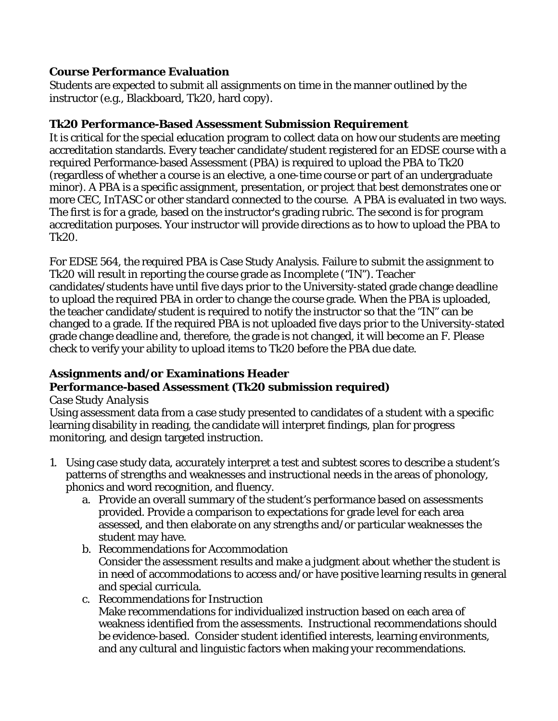### **Course Performance Evaluation**

Students are expected to submit all assignments on time in the manner outlined by the instructor (e.g., Blackboard, Tk20, hard copy).

### **Tk20 Performance-Based Assessment Submission Requirement**

It is critical for the special education program to collect data on how our students are meeting accreditation standards. Every teacher candidate/student registered for an EDSE course with a required Performance-based Assessment (PBA) is required to upload the PBA to Tk20 (regardless of whether a course is an elective, a one-time course or part of an undergraduate minor). A PBA is a specific assignment, presentation, or project that best demonstrates one or more CEC, InTASC or other standard connected to the course. A PBA is evaluated in two ways. The first is for a grade, based on the instructor's grading rubric. The second is for program accreditation purposes. Your instructor will provide directions as to how to upload the PBA to Tk20.

For EDSE 564, the required PBA is Case Study Analysis. Failure to submit the assignment to Tk20 will result in reporting the course grade as Incomplete ("IN"). Teacher candidates/students have until five days prior to the University-stated grade change deadline to upload the required PBA in order to change the course grade. When the PBA is uploaded, the teacher candidate/student is required to notify the instructor so that the "IN" can be changed to a grade. If the required PBA is not uploaded five days prior to the University-stated grade change deadline and, therefore, the grade is not changed, it will become an F. Please check to verify your ability to upload items to Tk20 before the PBA due date.

### **Assignments and/or Examinations Header Performance-based Assessment (Tk20 submission required)**

### *Case Study Analysis*

Using assessment data from a case study presented to candidates of a student with a specific learning disability in reading, the candidate will interpret findings, plan for progress monitoring, and design targeted instruction.

- 1. Using case study data, accurately interpret a test and subtest scores to describe a student's patterns of strengths and weaknesses and instructional needs in the areas of phonology, phonics and word recognition, and fluency.
	- a. Provide an overall summary of the student's performance based on assessments provided. Provide a comparison to expectations for grade level for each area assessed, and then elaborate on any strengths and/or particular weaknesses the student may have.
	- b. Recommendations for Accommodation Consider the assessment results and make a judgment about whether the student is in need of accommodations to access and/or have positive learning results in general and special curricula.
	- c. Recommendations for Instruction Make recommendations for individualized instruction based on each area of weakness identified from the assessments. Instructional recommendations should be evidence-based. Consider student identified interests, learning environments, and any cultural and linguistic factors when making your recommendations.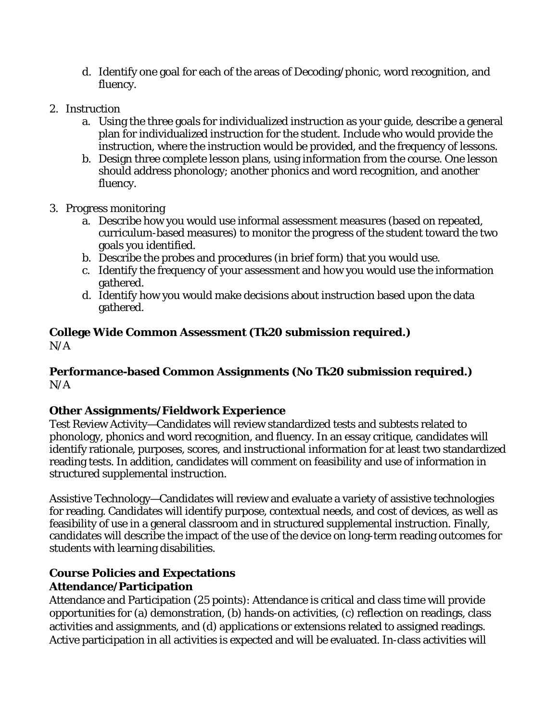- d. Identify one goal for each of the areas of Decoding/phonic, word recognition, and fluency.
- 2. Instruction
	- a. Using the three goals for individualized instruction as your guide, describe a general plan for individualized instruction for the student. Include who would provide the instruction, where the instruction would be provided, and the frequency of lessons.
	- b. Design three complete lesson plans, using information from the course. One lesson should address phonology; another phonics and word recognition, and another fluency.
- 3. Progress monitoring
	- a. Describe how you would use informal assessment measures (based on repeated, curriculum-based measures) to monitor the progress of the student toward the two goals you identified.
	- b. Describe the probes and procedures (in brief form) that you would use.
	- c. Identify the frequency of your assessment and how you would use the information gathered.
	- d. Identify how you would make decisions about instruction based upon the data gathered.

### **College Wide Common Assessment (Tk20 submission required.)**   $N/A$

### **Performance-based Common Assignments (No Tk20 submission required.)**   $N/A$

## **Other Assignments/Fieldwork Experience**

Test Review Activity—Candidates will review standardized tests and subtests related to phonology, phonics and word recognition, and fluency. In an essay critique, candidates will identify rationale, purposes, scores, and instructional information for at least two standardized reading tests. In addition, candidates will comment on feasibility and use of information in structured supplemental instruction.

Assistive Technology—Candidates will review and evaluate a variety of assistive technologies for reading. Candidates will identify purpose, contextual needs, and cost of devices, as well as feasibility of use in a general classroom and in structured supplemental instruction. Finally, candidates will describe the impact of the use of the device on long-term reading outcomes for students with learning disabilities.

### **Course Policies and Expectations Attendance/Participation**

Attendance and Participation (25 points): Attendance is critical and class time will provide opportunities for (a) demonstration, (b) hands-on activities, (c) reflection on readings, class activities and assignments, and (d) applications or extensions related to assigned readings. Active participation in all activities is expected and will be evaluated. In-class activities will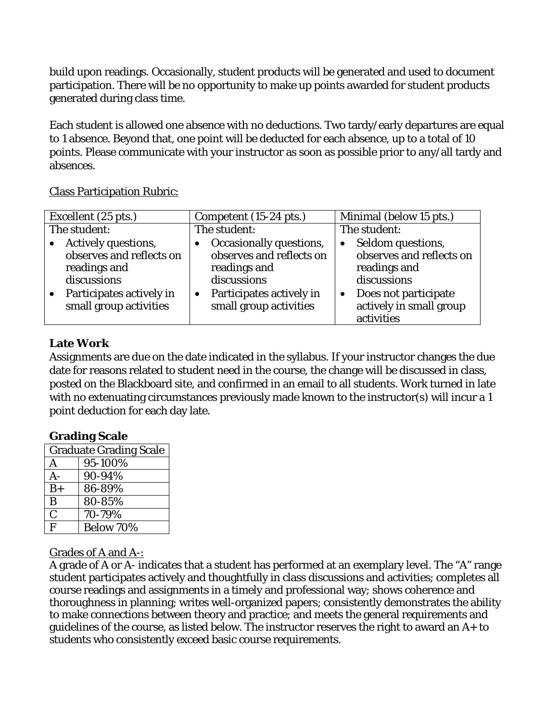build upon readings. Occasionally, student products will be generated and used to document participation. There will be no opportunity to make up points awarded for student products generated during class time.

Each student is allowed one absence with no deductions. Two tardy/early departures are equal to 1 absence. Beyond that, one point will be deducted for each absence, up to a total of 10 points. Please communicate with your instructor as soon as possible prior to any/all tardy and absences.

Class Participation Rubric:

| Excellent (25 pts.)                                                            | Competent (15-24 pts.)                                                             | Minimal (below 15 pts.)                                                                   |
|--------------------------------------------------------------------------------|------------------------------------------------------------------------------------|-------------------------------------------------------------------------------------------|
| The student:                                                                   | The student:                                                                       | The student:                                                                              |
| Actively questions,<br>observes and reflects on<br>readings and<br>discussions | Occasionally questions,<br>observes and reflects on<br>readings and<br>discussions | Seldom questions,<br>$\bullet$<br>observes and reflects on<br>readings and<br>discussions |
| Participates actively in<br>small group activities                             | Participates actively in<br>small group activities                                 | Does not participate<br>actively in small group<br>activities                             |

### **Late Work**

Assignments are due on the date indicated in the syllabus. If your instructor changes the due date for reasons related to student need in the course, the change will be discussed in class, posted on the Blackboard site, and confirmed in an email to all students. Work turned in late with no extenuating circumstances previously made known to the instructor(s) will incur a 1 point deduction for each day late.

### **Grading Scale**

| <b>Graduate Grading Scale</b> |           |  |
|-------------------------------|-----------|--|
| A                             | 95-100%   |  |
| A-                            | 90-94%    |  |
| $B+$                          | 86-89%    |  |
| B                             | 80-85%    |  |
| $\overline{C}$                | 70-79%    |  |
| F                             | Below 70% |  |

### Grades of A and A-:

A grade of A or A- indicates that a student has performed at an exemplary level. The "A" range student participates actively and thoughtfully in class discussions and activities; completes all course readings and assignments in a timely and professional way; shows coherence and thoroughness in planning; writes well-organized papers; consistently demonstrates the ability to make connections between theory and practice; and meets the general requirements and guidelines of the course, as listed below. The instructor reserves the right to award an A+ to students who consistently exceed basic course requirements.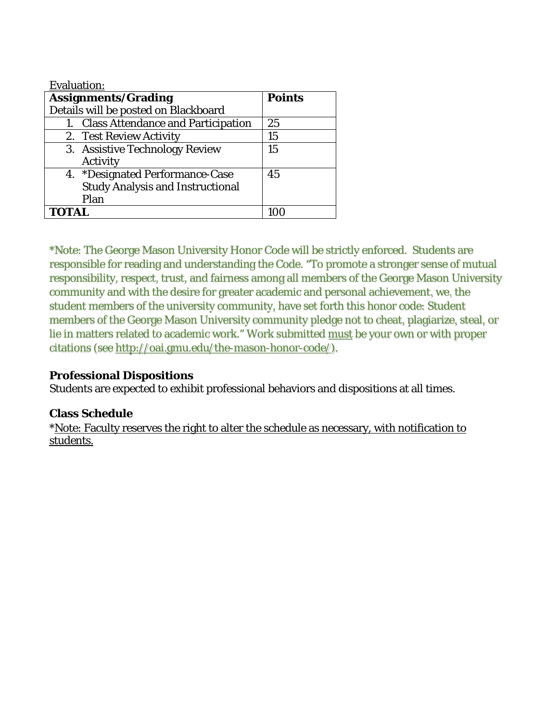| <b>Evaluation:</b>                      |               |
|-----------------------------------------|---------------|
| <b>Assignments/Grading</b>              | <b>Points</b> |
| Details will be posted on Blackboard    |               |
| 1. Class Attendance and Participation   | 25            |
| 2. Test Review Activity                 | 15            |
| 3. Assistive Technology Review          | 15            |
| Activity                                |               |
| 4. *Designated Performance-Case         | 45            |
| <b>Study Analysis and Instructional</b> |               |
| Plan                                    |               |
|                                         |               |

\*Note: The George Mason University Honor Code will be strictly enforced. Students are responsible for reading and understanding the Code. "To promote a stronger sense of mutual responsibility, respect, trust, and fairness among all members of the George Mason University community and with the desire for greater academic and personal achievement, we, the student members of the university community, have set forth this honor code: Student members of the George Mason University community pledge not to cheat, plagiarize, steal, or lie in matters related to academic work." Work submitted must be your own or with proper citations (see http://oai.gmu.edu/the-mason-honor-code/).

### **Professional Dispositions**

Students are expected to exhibit professional behaviors and dispositions at all times.

### **Class Schedule**

\*Note: Faculty reserves the right to alter the schedule as necessary, with notification to students.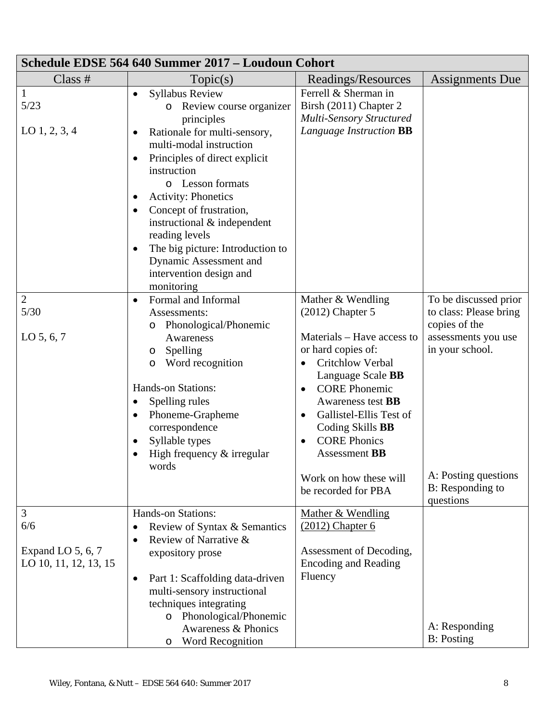| Schedule EDSE 564 640 Summer 2017 - Loudoun Cohort     |                                                                                                                                                                                                                                                                                                                                                                                                                                                           |                                                                                                                                                                                                                                                                                                                                                                          |                                                                                                                                                                     |
|--------------------------------------------------------|-----------------------------------------------------------------------------------------------------------------------------------------------------------------------------------------------------------------------------------------------------------------------------------------------------------------------------------------------------------------------------------------------------------------------------------------------------------|--------------------------------------------------------------------------------------------------------------------------------------------------------------------------------------------------------------------------------------------------------------------------------------------------------------------------------------------------------------------------|---------------------------------------------------------------------------------------------------------------------------------------------------------------------|
| Class $#$                                              | Topic(s)                                                                                                                                                                                                                                                                                                                                                                                                                                                  | Readings/Resources                                                                                                                                                                                                                                                                                                                                                       | Assignments Due                                                                                                                                                     |
| $\mathbf{1}$<br>5/23<br>$LO$ 1, 2, 3, 4                | <b>Syllabus Review</b><br>$\bullet$<br>Review course organizer<br>$\circ$<br>principles<br>Rationale for multi-sensory,<br>multi-modal instruction<br>Principles of direct explicit<br>instruction<br>o Lesson formats<br><b>Activity: Phonetics</b><br>Concept of frustration,<br>$\bullet$<br>instructional & independent<br>reading levels<br>The big picture: Introduction to<br>٠<br>Dynamic Assessment and<br>intervention design and<br>monitoring | Ferrell & Sherman in<br>Birsh (2011) Chapter 2<br><b>Multi-Sensory Structured</b><br>Language Instruction BB                                                                                                                                                                                                                                                             |                                                                                                                                                                     |
| $\overline{2}$<br>$5/30$<br>$LO$ 5, 6, 7               | Formal and Informal<br>$\bullet$<br>Assessments:<br>Phonological/Phonemic<br>O<br>Awareness<br>Spelling<br>$\circ$<br>Word recognition<br>O<br><b>Hands-on Stations:</b><br>Spelling rules<br>Phoneme-Grapheme<br>$\bullet$<br>correspondence<br>Syllable types<br>High frequency $&$ irregular<br>words                                                                                                                                                  | Mather & Wendling<br>$(2012)$ Chapter 5<br>Materials – Have access to<br>or hard copies of:<br>Critchlow Verbal<br>$\bullet$<br>Language Scale <b>BB</b><br><b>CORE Phonemic</b><br>Awareness test <b>BB</b><br>Gallistel-Ellis Test of<br>Coding Skills BB<br><b>CORE Phonics</b><br>$\bullet$<br><b>Assessment BB</b><br>Work on how these will<br>be recorded for PBA | To be discussed prior<br>to class: Please bring<br>copies of the<br>assessments you use<br>in your school.<br>A: Posting questions<br>B: Responding to<br>questions |
| 3<br>6/6<br>Expand LO 5, 6, 7<br>LO 10, 11, 12, 13, 15 | <b>Hands-on Stations:</b><br>Review of Syntax & Semantics<br>Review of Narrative &<br>expository prose<br>Part 1: Scaffolding data-driven<br>$\bullet$<br>multi-sensory instructional<br>techniques integrating<br>o Phonological/Phonemic<br>Awareness & Phonics<br>Word Recognition<br>O                                                                                                                                                                | Mather & Wendling<br>$(2012)$ Chapter 6<br>Assessment of Decoding,<br><b>Encoding and Reading</b><br>Fluency                                                                                                                                                                                                                                                             | A: Responding<br><b>B</b> : Posting                                                                                                                                 |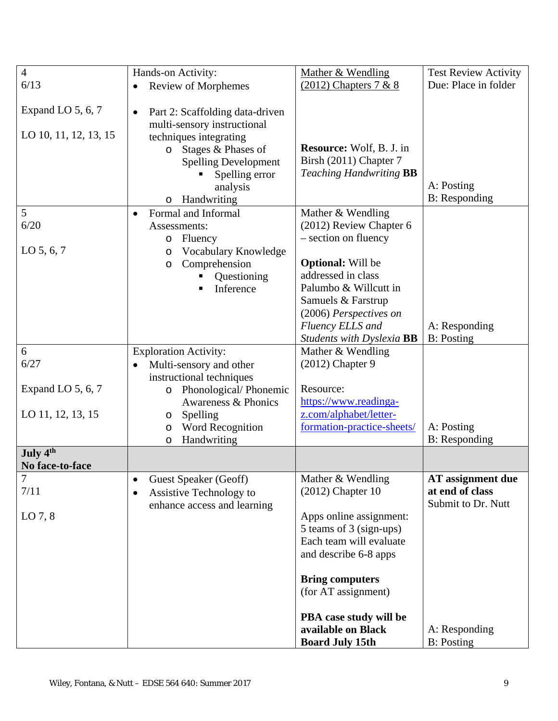| $\overline{4}$        | Hands-on Activity:                           | Mather & Wendling                              | <b>Test Review Activity</b>          |
|-----------------------|----------------------------------------------|------------------------------------------------|--------------------------------------|
| 6/13                  | Review of Morphemes                          | $(2012)$ Chapters 7 & 8                        | Due: Place in folder                 |
| Expand LO 5, 6, 7     | Part 2: Scaffolding data-driven<br>$\bullet$ |                                                |                                      |
|                       | multi-sensory instructional                  |                                                |                                      |
| LO 10, 11, 12, 13, 15 | techniques integrating                       |                                                |                                      |
|                       | Stages & Phases of<br>$\circ$                | <b>Resource:</b> Wolf, B. J. in                |                                      |
|                       | <b>Spelling Development</b>                  | Birsh (2011) Chapter 7                         |                                      |
|                       | Spelling error                               | <b>Teaching Handwriting BB</b>                 |                                      |
|                       | analysis                                     |                                                | A: Posting                           |
|                       | Handwriting                                  |                                                | <b>B</b> : Responding                |
| 5                     | Formal and Informal<br>$\bullet$             | Mather & Wendling                              |                                      |
| 6/20                  | Assessments:                                 | (2012) Review Chapter 6                        |                                      |
|                       | Fluency<br>$\circ$                           | - section on fluency                           |                                      |
| $LO$ 5, 6, 7          | Vocabulary Knowledge<br>O                    |                                                |                                      |
|                       | Comprehension<br>$\circ$                     | <b>Optional:</b> Will be<br>addressed in class |                                      |
|                       | Questioning<br>Inference                     | Palumbo & Willcutt in                          |                                      |
|                       |                                              | Samuels & Farstrup                             |                                      |
|                       |                                              | (2006) Perspectives on                         |                                      |
|                       |                                              | Fluency ELLS and                               | A: Responding                        |
|                       |                                              | Students with Dyslexia BB                      | <b>B</b> : Posting                   |
| 6                     | <b>Exploration Activity:</b>                 | Mather & Wendling                              |                                      |
| 6/27                  | Multi-sensory and other                      | $(2012)$ Chapter 9                             |                                      |
|                       | instructional techniques                     |                                                |                                      |
| Expand LO 5, 6, 7     | Phonological/Phonemic<br>$\circ$             | Resource:                                      |                                      |
|                       | Awareness & Phonics                          | https://www.readinga-                          |                                      |
| LO 11, 12, 13, 15     | Spelling<br>O                                | z.com/alphabet/letter-                         |                                      |
|                       | Word Recognition<br>O                        | formation-practice-sheets/                     | A: Posting                           |
|                       | Handwriting<br>$\circ$                       |                                                | <b>B</b> : Responding                |
| July 4th              |                                              |                                                |                                      |
| No face-to-face       |                                              |                                                |                                      |
| 7<br>7/11             | Guest Speaker (Geoff)<br>$\bullet$           | Mather & Wendling<br>$(2012)$ Chapter 10       | AT assignment due<br>at end of class |
|                       | Assistive Technology to<br>$\bullet$         |                                                | Submit to Dr. Nutt                   |
| LO $7, 8$             | enhance access and learning                  | Apps online assignment:                        |                                      |
|                       |                                              | 5 teams of 3 (sign-ups)                        |                                      |
|                       |                                              | Each team will evaluate                        |                                      |
|                       |                                              | and describe 6-8 apps                          |                                      |
|                       |                                              |                                                |                                      |
|                       |                                              | <b>Bring computers</b>                         |                                      |
|                       |                                              | (for AT assignment)                            |                                      |
|                       |                                              | PBA case study will be                         |                                      |
|                       |                                              | available on Black                             | A: Responding                        |
|                       |                                              | <b>Board July 15th</b>                         | <b>B</b> : Posting                   |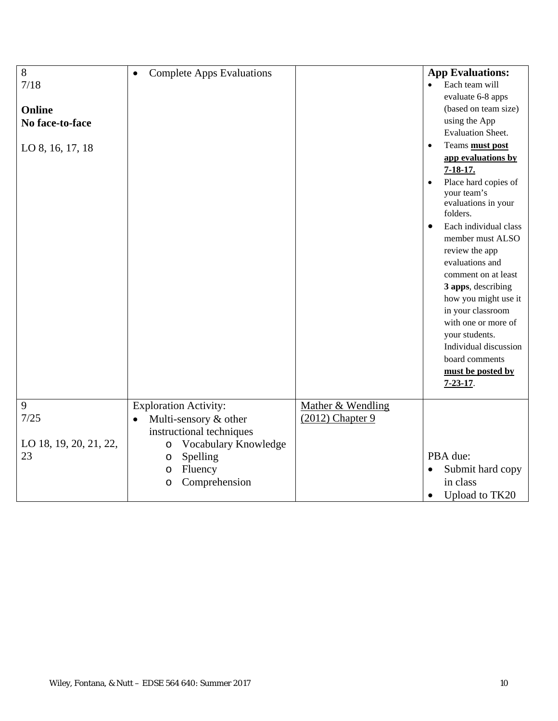| 8<br>7/18<br>Online<br>No face-to-face<br>LO 8, 16, 17, 18 | <b>Complete Apps Evaluations</b><br>$\bullet$                                                                                                                                                        |                                         | <b>App Evaluations:</b><br>Each team will<br>$\bullet$<br>evaluate 6-8 apps<br>(based on team size)<br>using the App<br><b>Evaluation Sheet.</b><br>Teams must post<br>$\bullet$<br>app evaluations by<br>$7 - 18 - 17$ .<br>Place hard copies of<br>your team's<br>evaluations in your<br>folders.<br>Each individual class<br>$\bullet$<br>member must ALSO<br>review the app<br>evaluations and<br>comment on at least<br>3 apps, describing<br>how you might use it<br>in your classroom<br>with one or more of<br>your students.<br>Individual discussion |
|------------------------------------------------------------|------------------------------------------------------------------------------------------------------------------------------------------------------------------------------------------------------|-----------------------------------------|----------------------------------------------------------------------------------------------------------------------------------------------------------------------------------------------------------------------------------------------------------------------------------------------------------------------------------------------------------------------------------------------------------------------------------------------------------------------------------------------------------------------------------------------------------------|
|                                                            |                                                                                                                                                                                                      |                                         | board comments<br>must be posted by<br>$7 - 23 - 17$ .                                                                                                                                                                                                                                                                                                                                                                                                                                                                                                         |
| 9<br>7/25<br>LO 18, 19, 20, 21, 22,<br>23                  | <b>Exploration Activity:</b><br>Multi-sensory & other<br>$\bullet$<br>instructional techniques<br>Vocabulary Knowledge<br>$\circ$<br>Spelling<br>$\circ$<br>Fluency<br>$\circ$<br>Comprehension<br>O | Mather & Wendling<br>$(2012)$ Chapter 9 | PBA due:<br>Submit hard copy<br>$\bullet$<br>in class<br>Upload to TK20<br>$\bullet$                                                                                                                                                                                                                                                                                                                                                                                                                                                                           |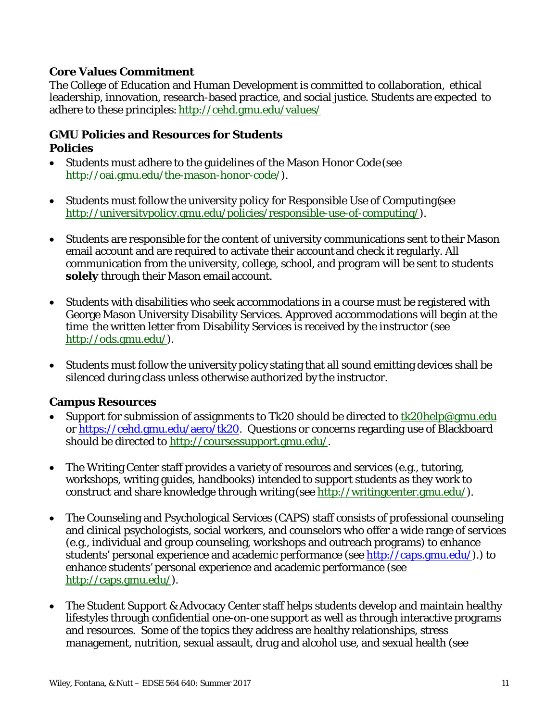### **Core Values Commitment**

The College of Education and Human Development is committed to collaboration, ethical leadership, innovation, research-based practice, and social justice. Students are expected to adhere to these principles: http://cehd.gmu.edu/values/

#### **GMU Policies and Resources for Students Policies**

- Students must adhere to the guidelines of the Mason Honor Code (see http://oai.gmu.edu/the-mason-honor-code/).
- Students must follow the university policy for Responsible Use of Computing (see http://universitypolicy.gmu.edu/policies/responsible-use-of-computing/).
- Students are responsible for the content of university communications sent to their Mason email account and are required to activate their account and check it regularly. All communication from the university, college, school, and program will be sent to students **solely** through their Mason email account.
- Students with disabilities who seek accommodations in a course must be registered with George Mason University Disability Services. Approved accommodations will begin at the time the written letter from Disability Services is received by the instructor (see http://ods.gmu.edu/).
- Students must follow the university policy stating that all sound emitting devices shall be silenced during class unless otherwise authorized by the instructor.

#### **Campus Resources**

- Support for submission of assignments to Tk20 should be directed to  $tk20$ help@gmu.edu or https://cehd.gmu.edu/aero/tk20. Questions or concerns regarding use of Blackboard should be directed to http://coursessupport.gmu.edu/.
- The Writing Center staff provides a variety of resources and services (e.g., tutoring, workshops, writing guides, handbooks) intended to support students as they work to construct and share knowledge through writing (see http://writingcenter.gmu.edu/).
- The Counseling and Psychological Services (CAPS) staff consists of professional counseling and clinical psychologists, social workers, and counselors who offer a wide range of services (e.g., individual and group counseling, workshops and outreach programs) to enhance students' personal experience and academic performance (see http://caps.gmu.edu/).) to enhance students' personal experience and academic performance (see http://caps.gmu.edu/).
- The Student Support & Advocacy Center staff helps students develop and maintain healthy lifestyles through confidential one-on-one support as well as through interactive programs and resources. Some of the topics they address are healthy relationships, stress management, nutrition, sexual assault, drug and alcohol use, and sexual health (see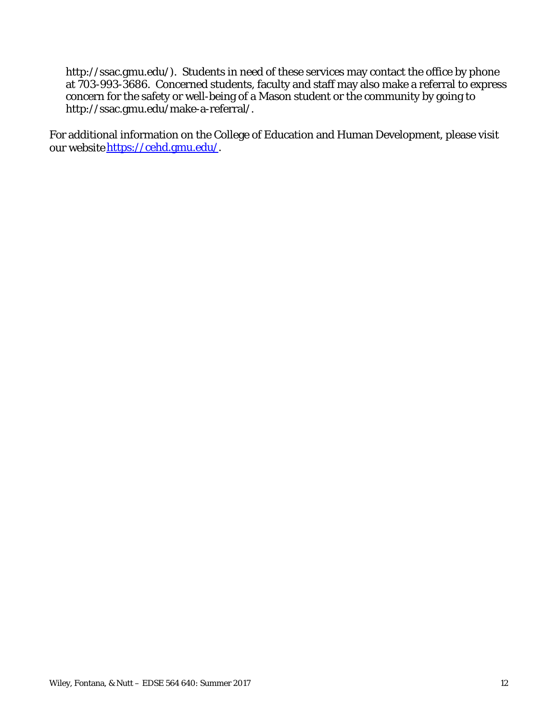http://ssac.gmu.edu/). Students in need of these services may contact the office by phone at 703-993-3686. Concerned students, faculty and staff may also make a referral to express concern for the safety or well-being of a Mason student or the community by going to http://ssac.gmu.edu/make-a-referral/.

For additional information on the College of Education and Human Development, please visit our website https://cehd.gmu.edu/.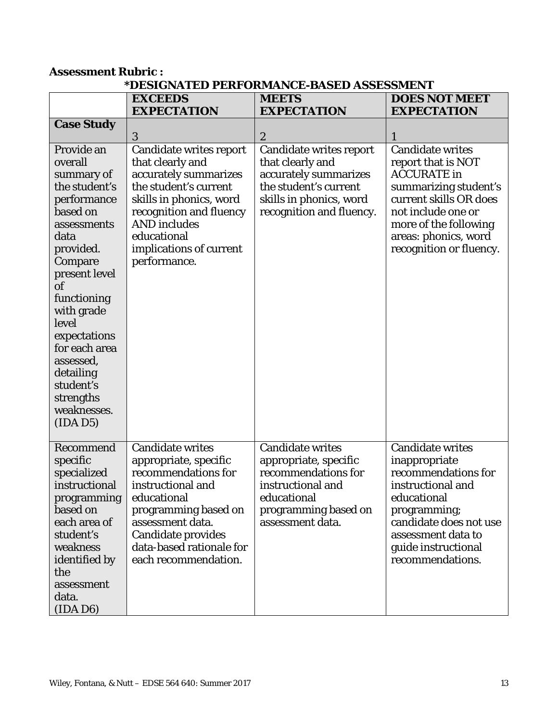#### **Assessment Rubric : \*DESIGNATED PERFORMANCE-BASED ASSESSMENT**

|                   | <b>EXCEEDS</b>            | <b>MEETS</b>             | <b>DOES NOT MEET</b>    |
|-------------------|---------------------------|--------------------------|-------------------------|
|                   | <b>EXPECTATION</b>        | <b>EXPECTATION</b>       | <b>EXPECTATION</b>      |
| <b>Case Study</b> |                           |                          |                         |
|                   | 3                         | $\boldsymbol{2}$         |                         |
| Provide an        | Candidate writes report   | Candidate writes report  | <b>Candidate writes</b> |
| overall           | that clearly and          | that clearly and         | report that is NOT      |
| summary of        | accurately summarizes     | accurately summarizes    | <b>ACCURATE</b> in      |
| the student's     | the student's current     | the student's current    | summarizing student's   |
| performance       | skills in phonics, word   | skills in phonics, word  | current skills OR does  |
| based on          | recognition and fluency   | recognition and fluency. | not include one or      |
| assessments       | <b>AND</b> includes       |                          | more of the following   |
| data              | educational               |                          | areas: phonics, word    |
| provided.         | implications of current   |                          | recognition or fluency. |
| Compare           | performance.              |                          |                         |
| present level     |                           |                          |                         |
| <sub>of</sub>     |                           |                          |                         |
| functioning       |                           |                          |                         |
| with grade        |                           |                          |                         |
| level             |                           |                          |                         |
| expectations      |                           |                          |                         |
| for each area     |                           |                          |                         |
| assessed,         |                           |                          |                         |
| detailing         |                           |                          |                         |
| student's         |                           |                          |                         |
| strengths         |                           |                          |                         |
| weaknesses.       |                           |                          |                         |
| (IDAD5)           |                           |                          |                         |
|                   |                           |                          |                         |
| Recommend         | Candidate writes          | <b>Candidate writes</b>  | <b>Candidate writes</b> |
| specific          | appropriate, specific     | appropriate, specific    | inappropriate           |
| specialized       | recommendations for       | recommendations for      | recommendations for     |
| instructional     | instructional and         | instructional and        | instructional and       |
| programming       | educational               | educational              | educational             |
| based on          | programming based on      | programming based on     | programming;            |
| each area of      | assessment data.          | assessment data.         | candidate does not use  |
| student's         | <b>Candidate provides</b> |                          | assessment data to      |
| weakness          | data-based rationale for  |                          | guide instructional     |
| identified by     | each recommendation.      |                          | recommendations.        |
| the               |                           |                          |                         |
| assessment        |                           |                          |                         |
| data.             |                           |                          |                         |
| (IDA D6)          |                           |                          |                         |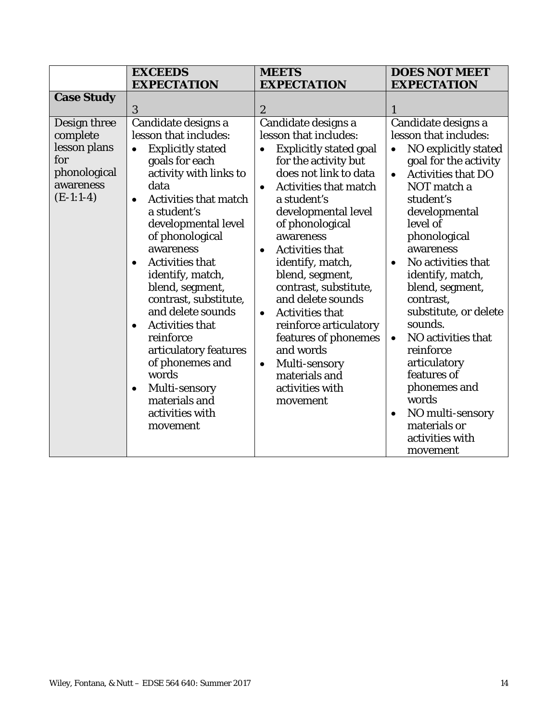|                                                                                             | <b>EXCEEDS</b><br><b>EXPECTATION</b>                                                                                                                                                                                                                                                                                                                                                                                                                                                                                                                               | <b>MEETS</b><br><b>EXPECTATION</b>                                                                                                                                                                                                                                                                                                                                                                                                                                                                                                                                | <b>DOES NOT MEET</b><br><b>EXPECTATION</b>                                                                                                                                                                                                                                                                                                                                                                                                                                                                                                       |
|---------------------------------------------------------------------------------------------|--------------------------------------------------------------------------------------------------------------------------------------------------------------------------------------------------------------------------------------------------------------------------------------------------------------------------------------------------------------------------------------------------------------------------------------------------------------------------------------------------------------------------------------------------------------------|-------------------------------------------------------------------------------------------------------------------------------------------------------------------------------------------------------------------------------------------------------------------------------------------------------------------------------------------------------------------------------------------------------------------------------------------------------------------------------------------------------------------------------------------------------------------|--------------------------------------------------------------------------------------------------------------------------------------------------------------------------------------------------------------------------------------------------------------------------------------------------------------------------------------------------------------------------------------------------------------------------------------------------------------------------------------------------------------------------------------------------|
| <b>Case Study</b>                                                                           | 3                                                                                                                                                                                                                                                                                                                                                                                                                                                                                                                                                                  | $\boldsymbol{2}$                                                                                                                                                                                                                                                                                                                                                                                                                                                                                                                                                  | 1                                                                                                                                                                                                                                                                                                                                                                                                                                                                                                                                                |
| Design three<br>complete<br>lesson plans<br>for<br>phonological<br>awareness<br>$(E-1:1-4)$ | Candidate designs a<br>lesson that includes:<br><b>Explicitly stated</b><br>goals for each<br>activity with links to<br>data<br><b>Activities that match</b><br>$\bullet$<br>a student's<br>developmental level<br>of phonological<br>awareness<br><b>Activities that</b><br>$\bullet$<br>identify, match,<br>blend, segment,<br>contrast, substitute,<br>and delete sounds<br><b>Activities that</b><br>$\bullet$<br>reinforce<br>articulatory features<br>of phonemes and<br>words<br>Multi-sensory<br>$\bullet$<br>materials and<br>activities with<br>movement | Candidate designs a<br>lesson that includes:<br><b>Explicitly stated goal</b><br>for the activity but<br>does not link to data<br><b>Activities that match</b><br>$\bullet$<br>a student's<br>developmental level<br>of phonological<br>awareness<br><b>Activities that</b><br>$\bullet$<br>identify, match,<br>blend, segment,<br>contrast, substitute,<br>and delete sounds<br><b>Activities that</b><br>$\bullet$<br>reinforce articulatory<br>features of phonemes<br>and words<br>Multi-sensory<br>$\bullet$<br>materials and<br>activities with<br>movement | Candidate designs a<br>lesson that includes:<br>NO explicitly stated<br>$\bullet$<br>goal for the activity<br><b>Activities that DO</b><br>$\bullet$<br>NOT match a<br>student's<br>developmental<br>level of<br>phonological<br>awareness<br>No activities that<br>$\bullet$<br>identify, match,<br>blend, segment,<br>contrast,<br>substitute, or delete<br>sounds.<br>NO activities that<br>$\bullet$<br>reinforce<br>articulatory<br>features of<br>phonemes and<br>words<br>NO multi-sensory<br>materials or<br>activities with<br>movement |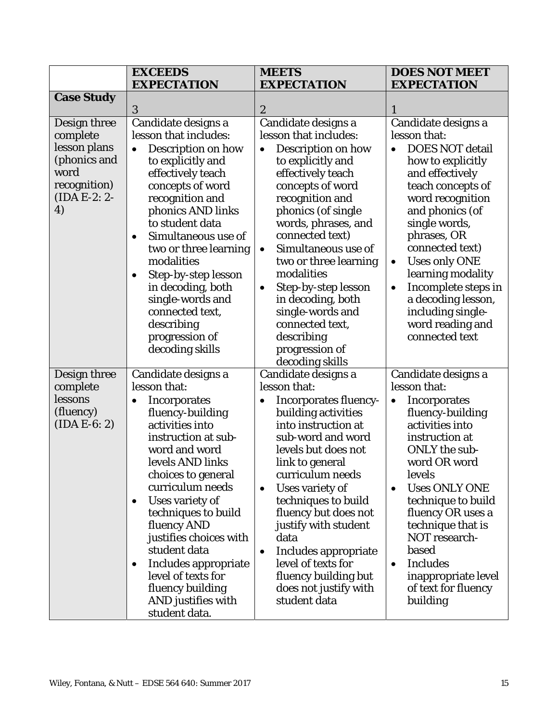|                                                                                                          | <b>EXCEEDS</b><br><b>EXPECTATION</b>                                                                                                                                                                                                                                                                                                                                                                                                                | <b>MEETS</b><br><b>EXPECTATION</b>                                                                                                                                                                                                                                                                                                                                                                                                                             | <b>DOES NOT MEET</b><br><b>EXPECTATION</b>                                                                                                                                                                                                                                                                                                                                                                       |
|----------------------------------------------------------------------------------------------------------|-----------------------------------------------------------------------------------------------------------------------------------------------------------------------------------------------------------------------------------------------------------------------------------------------------------------------------------------------------------------------------------------------------------------------------------------------------|----------------------------------------------------------------------------------------------------------------------------------------------------------------------------------------------------------------------------------------------------------------------------------------------------------------------------------------------------------------------------------------------------------------------------------------------------------------|------------------------------------------------------------------------------------------------------------------------------------------------------------------------------------------------------------------------------------------------------------------------------------------------------------------------------------------------------------------------------------------------------------------|
| <b>Case Study</b>                                                                                        |                                                                                                                                                                                                                                                                                                                                                                                                                                                     |                                                                                                                                                                                                                                                                                                                                                                                                                                                                |                                                                                                                                                                                                                                                                                                                                                                                                                  |
|                                                                                                          | 3                                                                                                                                                                                                                                                                                                                                                                                                                                                   | $\boldsymbol{2}$                                                                                                                                                                                                                                                                                                                                                                                                                                               | 1                                                                                                                                                                                                                                                                                                                                                                                                                |
| Design three<br>complete<br>lesson plans<br>(phonics and<br>word<br>recognition)<br>$(IDA E-2: 2-$<br>4) | Candidate designs a<br>lesson that includes:<br>Description on how<br>$\bullet$<br>to explicitly and<br>effectively teach<br>concepts of word<br>recognition and<br>phonics AND links<br>to student data<br>Simultaneous use of<br>$\bullet$<br>two or three learning<br>modalities<br>Step-by-step lesson<br>$\bullet$<br>in decoding, both<br>single-words and<br>connected text,<br>describing<br>progression of<br>decoding skills              | Candidate designs a<br>lesson that includes:<br>Description on how<br>$\bullet$<br>to explicitly and<br>effectively teach<br>concepts of word<br>recognition and<br>phonics (of single<br>words, phrases, and<br>connected text)<br>Simultaneous use of<br>$\bullet$<br>two or three learning<br>modalities<br>Step-by-step lesson<br>$\bullet$<br>in decoding, both<br>single-words and<br>connected text,<br>describing<br>progression of<br>decoding skills | Candidate designs a<br>lesson that:<br><b>DOES NOT detail</b><br>$\bullet$<br>how to explicitly<br>and effectively<br>teach concepts of<br>word recognition<br>and phonics (of<br>single words,<br>phrases, OR<br>connected text)<br><b>Uses only ONE</b><br>$\bullet$<br>learning modality<br>Incomplete steps in<br>$\bullet$<br>a decoding lesson,<br>including single-<br>word reading and<br>connected text |
| Design three<br>complete<br>lessons<br>(fluency)<br>$(IDA E-6: 2)$                                       | Candidate designs a<br>lesson that:<br>Incorporates<br>$\bullet$<br>fluency-building<br>activities into<br>instruction at sub-<br>word and word<br>levels AND links<br>choices to general<br>curriculum needs<br>Uses variety of<br>$\bullet$<br>techniques to build<br>fluency AND<br>justifies choices with<br>student data<br>Includes appropriate<br>$\bullet$<br>level of texts for<br>fluency building<br>AND justifies with<br>student data. | Candidate designs a<br>lesson that:<br><b>Incorporates fluency-</b><br>$\bullet$<br>building activities<br>into instruction at<br>sub-word and word<br>levels but does not<br>link to general<br>curriculum needs<br>Uses variety of<br>$\bullet$<br>techniques to build<br>fluency but does not<br>justify with student<br>data<br>Includes appropriate<br>$\bullet$<br>level of texts for<br>fluency building but<br>does not justify with<br>student data   | Candidate designs a<br>lesson that:<br><b>Incorporates</b><br>$\bullet$<br>fluency-building<br>activities into<br>instruction at<br><b>ONLY</b> the sub-<br>word OR word<br>levels<br><b>Uses ONLY ONE</b><br>$\bullet$<br>technique to build<br>fluency OR uses a<br>technique that is<br>NOT research-<br>based<br><b>Includes</b><br>$\bullet$<br>inappropriate level<br>of text for fluency<br>building      |